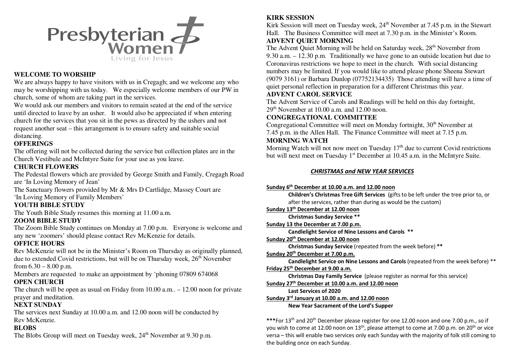

# **WELCOME TO WORSHIP**

 We are always happy to have visitors with us in Cregagh; and we welcome any who may be worshipping with us today. We especially welcome members of our PW in church, some of whom are taking part in the services.

We would ask our members and visitors to remain seated at the end of the service until directed to leave by an usher. It would also be appreciated if when entering church for the services that you sit in the pews as directed by the ushers and not request another seat – this arrangement is to ensure safety and suitable social distancing.

# **OFFERINGS**

 The offering will not be collected during the service but collection plates are in the Church Vestibule and McIntyre Suite for your use as you leave.

# **CHURCH FLOWERS**

 The Pedestal flowers which are provided by George Smith and Family, Cregagh Road are 'In Loving Memory of Jean'

 The Sanctuary flowers provided by Mr & Mrs D Cartlidge, Massey Court are 'In Loving Memory of Family Members'

# **YOUTH BIBLE STUDY**

The Youth Bible Study resumes this morning at 11.00 a.m.

# **ZOOM BIBLE STUDY**

 The Zoom Bible Study continues on Monday at 7.00 p.m. Everyone is welcome and any new 'zoomers' should please contact Rev McKenzie for details.

#### **OFFICE HOURS**

 Rev McKenzie will not be in the Minister's Room on Thursday as originally planned, due to extended Covid restrictions, but will be on Thursday week,  $26<sup>th</sup>$  November from  $6.30 - 8.00$  p.m.

Members are requested to make an appointment by 'phoning 07809 674068

# **OPEN CHURCH**

 The church will be open as usual on Friday from 10.00 a.m.. – 12.00 noon for private prayer and meditation.

#### **NEXT SUNDAY**

 The services next Sunday at 10.00 a.m. and 12.00 noon will be conducted by Rev McKenzie.

#### **BLOBS**

The Blobs Group will meet on Tuesday week, 24<sup>th</sup> November at 9.30 p.m.

# **KIRK SESSION**

Kirk Session will meet on Tuesday week,  $24<sup>th</sup>$  November at 7.45 p.m. in the Stewart Hall. The Business Committee will meet at 7.30 p.m. in the Minister's Room. **ADVENT QUIET MORNING** 

The Advent Quiet Morning will be held on Saturday week, 28<sup>th</sup> November from 9.30 a.m. – 12.30 p.m. Traditionally we have gone to an outside location but due to Coronavirus restrictions we hope to meet in the church. With social distancing numbers may be limited. If you would like to attend please phone Sheena Stewart (9079 3161) or Barbara Dunlop (07752134435) Those attending will have a time of quiet personal reflection in preparation for a different Christmas this year.

# **ADVENT CAROL SERVICE**

 The Advent Service of Carols and Readings will be held on this day fortnight,  $29<sup>th</sup>$  November at 10.00 a.m. and 12.00 noon.

# **CONGREGATIONAL COMMITTEE**

Congregational Committee will meet on Monday fortnight, 30<sup>th</sup> November at 7.45 p.m. in the Allen Hall. The Finance Committee will meet at 7.15 p.m. **MORNING WATCH** 

Morning Watch will not now meet on Tuesday  $17<sup>th</sup>$  due to current Covid restrictions but will next meet on Tuesday 1<sup>st</sup> December at 10.45 a.m. in the McIntyre Suite.

#### *CHRISTMAS and NEW YEAR SERVICES*

#### **Sunday 6th December at 10.00 a.m. and 12.00 noon**

 **Children's Christmas Tree Gift Services** (gifts to be left under the tree prior to, or after the services, rather than during as would be the custom)

**Sunday 13th December at 12.00 noon** 

 **Christmas Sunday Service \*\*** 

**Sunday 13 the December at 7.00 p.m.** 

 **Candlelight Service of Nine Lessons and Carols \*\***

**Sunday 20th December at 12.00 noon** 

 **Christmas Sunday Service** (repeated from the week before) **\*\*** 

**Sunday 20th December at 7.00 p.m.** 

 **Candlelight Service on Nine Lessons and Carols** (repeated from the week before) \*\* **Friday 25th December at 9.00 a.m.** 

 **Christmas Day Family Service** (please register as normal for this service)

**Sunday 27th December at 10.00 a.m. and 12.00 noon** 

**Last Services of 2020** 

**Sunday 3rd January at 10.00 a.m. and 12.00 noon** 

 **New Year Sacrament of the Lord's Supper** 

**\*\*\***For 13th and 20th December please register for one 12.00 noon and one 7.00 p.m., so if you wish to come at 12.00 noon on 13<sup>th</sup>, please attempt to come at 7.00 p.m. on 20<sup>th</sup> or vice versa – this will enable two services only each Sunday with the majority of folk still coming to the building once on each Sunday.